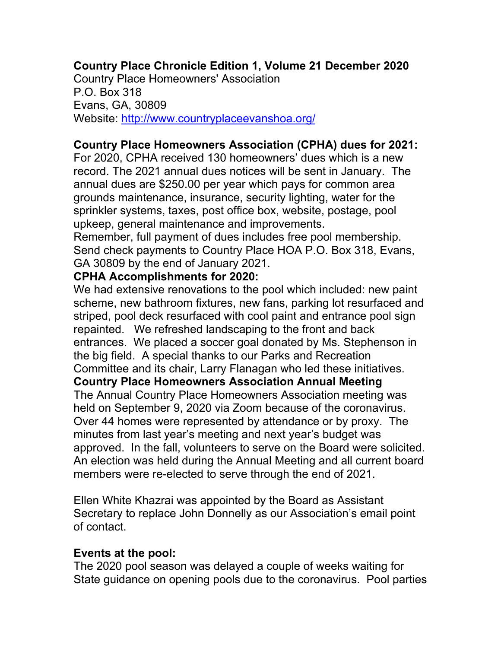#### **Country Place Chronicle Edition 1, Volume 21 December 2020**

Country Place Homeowners' Association P.O. Box 318 Evans, GA, 30809 Website: http://www.countryplaceevanshoa.org/

#### **Country Place Homeowners Association (CPHA) dues for 2021:**

For 2020, CPHA received 130 homeowners' dues which is a new record. The 2021 annual dues notices will be sent in January. The annual dues are \$250.00 per year which pays for common area grounds maintenance, insurance, security lighting, water for the sprinkler systems, taxes, post office box, website, postage, pool upkeep, general maintenance and improvements.

Remember, full payment of dues includes free pool membership. Send check payments to Country Place HOA P.O. Box 318, Evans, GA 30809 by the end of January 2021.

#### **CPHA Accomplishments for 2020:**

We had extensive renovations to the pool which included: new paint scheme, new bathroom fixtures, new fans, parking lot resurfaced and striped, pool deck resurfaced with cool paint and entrance pool sign repainted. We refreshed landscaping to the front and back entrances. We placed a soccer goal donated by Ms. Stephenson in the big field. A special thanks to our Parks and Recreation Committee and its chair, Larry Flanagan who led these initiatives. **Country Place Homeowners Association Annual Meeting**  The Annual Country Place Homeowners Association meeting was held on September 9, 2020 via Zoom because of the coronavirus. Over 44 homes were represented by attendance or by proxy. The minutes from last year's meeting and next year's budget was approved. In the fall, volunteers to serve on the Board were solicited. An election was held during the Annual Meeting and all current board members were re-elected to serve through the end of 2021.

Ellen White Khazrai was appointed by the Board as Assistant Secretary to replace John Donnelly as our Association's email point of contact.

#### **Events at the pool:**

The 2020 pool season was delayed a couple of weeks waiting for State guidance on opening pools due to the coronavirus. Pool parties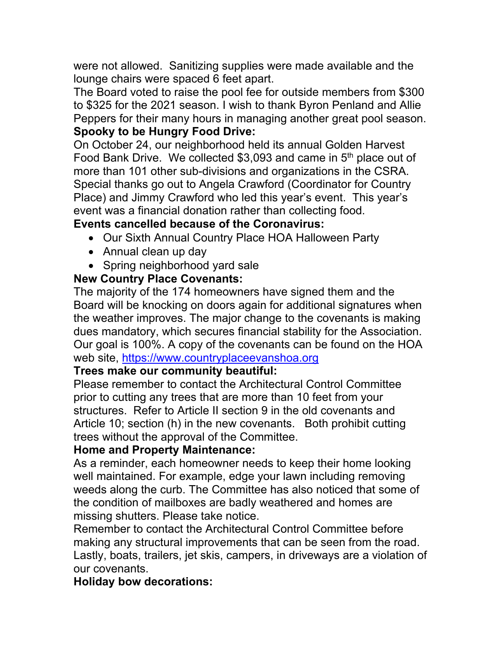were not allowed. Sanitizing supplies were made available and the lounge chairs were spaced 6 feet apart.

The Board voted to raise the pool fee for outside members from \$300 to \$325 for the 2021 season. I wish to thank Byron Penland and Allie Peppers for their many hours in managing another great pool season. **Spooky to be Hungry Food Drive:**

# On October 24, our neighborhood held its annual Golden Harvest

Food Bank Drive. We collected \$3,093 and came in 5th place out of more than 101 other sub-divisions and organizations in the CSRA. Special thanks go out to Angela Crawford (Coordinator for Country Place) and Jimmy Crawford who led this year's event. This year's event was a financial donation rather than collecting food.

## **Events cancelled because of the Coronavirus:**

- Our Sixth Annual Country Place HOA Halloween Party
- Annual clean up day
- Spring neighborhood yard sale

## **New Country Place Covenants:**

The majority of the 174 homeowners have signed them and the Board will be knocking on doors again for additional signatures when the weather improves. The major change to the covenants is making dues mandatory, which secures financial stability for the Association. Our goal is 100%. A copy of the covenants can be found on the HOA web site, https://www.countryplaceevanshoa.org

## **Trees make our community beautiful:**

Please remember to contact the Architectural Control Committee prior to cutting any trees that are more than 10 feet from your structures. Refer to Article II section 9 in the old covenants and Article 10; section (h) in the new covenants. Both prohibit cutting trees without the approval of the Committee.

## **Home and Property Maintenance:**

As a reminder, each homeowner needs to keep their home looking well maintained. For example, edge your lawn including removing weeds along the curb. The Committee has also noticed that some of the condition of mailboxes are badly weathered and homes are missing shutters. Please take notice.

Remember to contact the Architectural Control Committee before making any structural improvements that can be seen from the road. Lastly, boats, trailers, jet skis, campers, in driveways are a violation of our covenants.

## **Holiday bow decorations:**